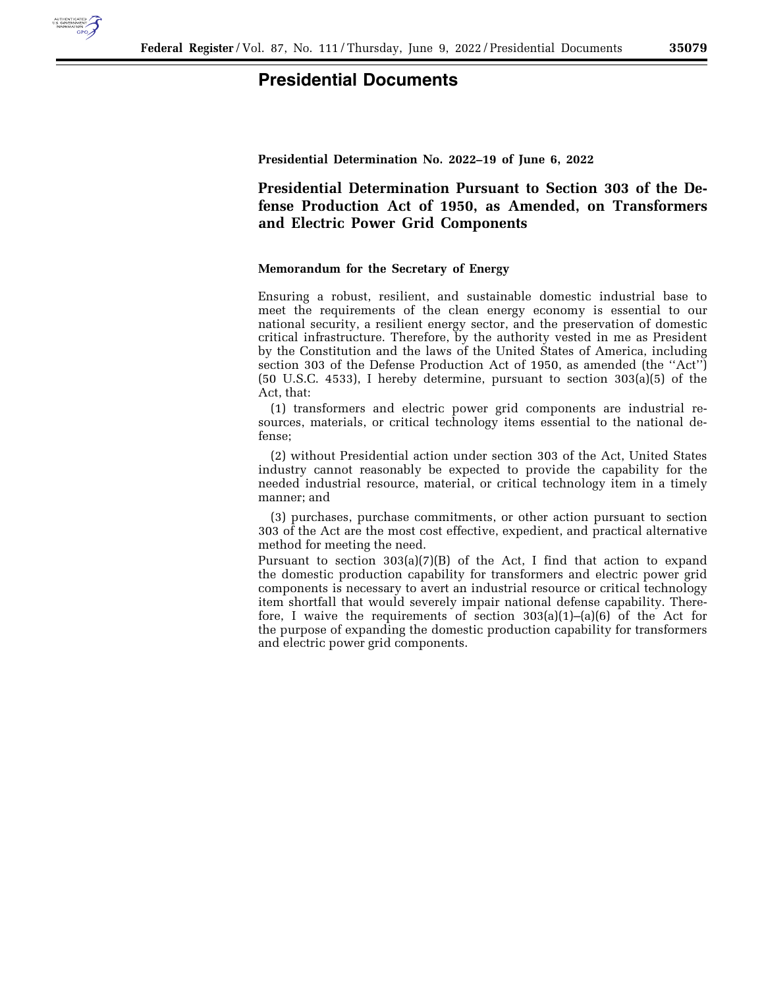

## **Presidential Documents**

**Presidential Determination No. 2022–19 of June 6, 2022** 

**Presidential Determination Pursuant to Section 303 of the Defense Production Act of 1950, as Amended, on Transformers and Electric Power Grid Components** 

## **Memorandum for the Secretary of Energy**

Ensuring a robust, resilient, and sustainable domestic industrial base to meet the requirements of the clean energy economy is essential to our national security, a resilient energy sector, and the preservation of domestic critical infrastructure. Therefore, by the authority vested in me as President by the Constitution and the laws of the United States of America, including section 303 of the Defense Production Act of 1950, as amended (the ''Act'') (50 U.S.C. 4533), I hereby determine, pursuant to section 303(a)(5) of the Act, that:

(1) transformers and electric power grid components are industrial resources, materials, or critical technology items essential to the national defense;

(2) without Presidential action under section 303 of the Act, United States industry cannot reasonably be expected to provide the capability for the needed industrial resource, material, or critical technology item in a timely manner; and

(3) purchases, purchase commitments, or other action pursuant to section 303 of the Act are the most cost effective, expedient, and practical alternative method for meeting the need.

Pursuant to section 303(a)(7)(B) of the Act, I find that action to expand the domestic production capability for transformers and electric power grid components is necessary to avert an industrial resource or critical technology item shortfall that would severely impair national defense capability. Therefore, I waive the requirements of section  $303(a)(1)$ – $(a)(6)$  of the Act for the purpose of expanding the domestic production capability for transformers and electric power grid components.